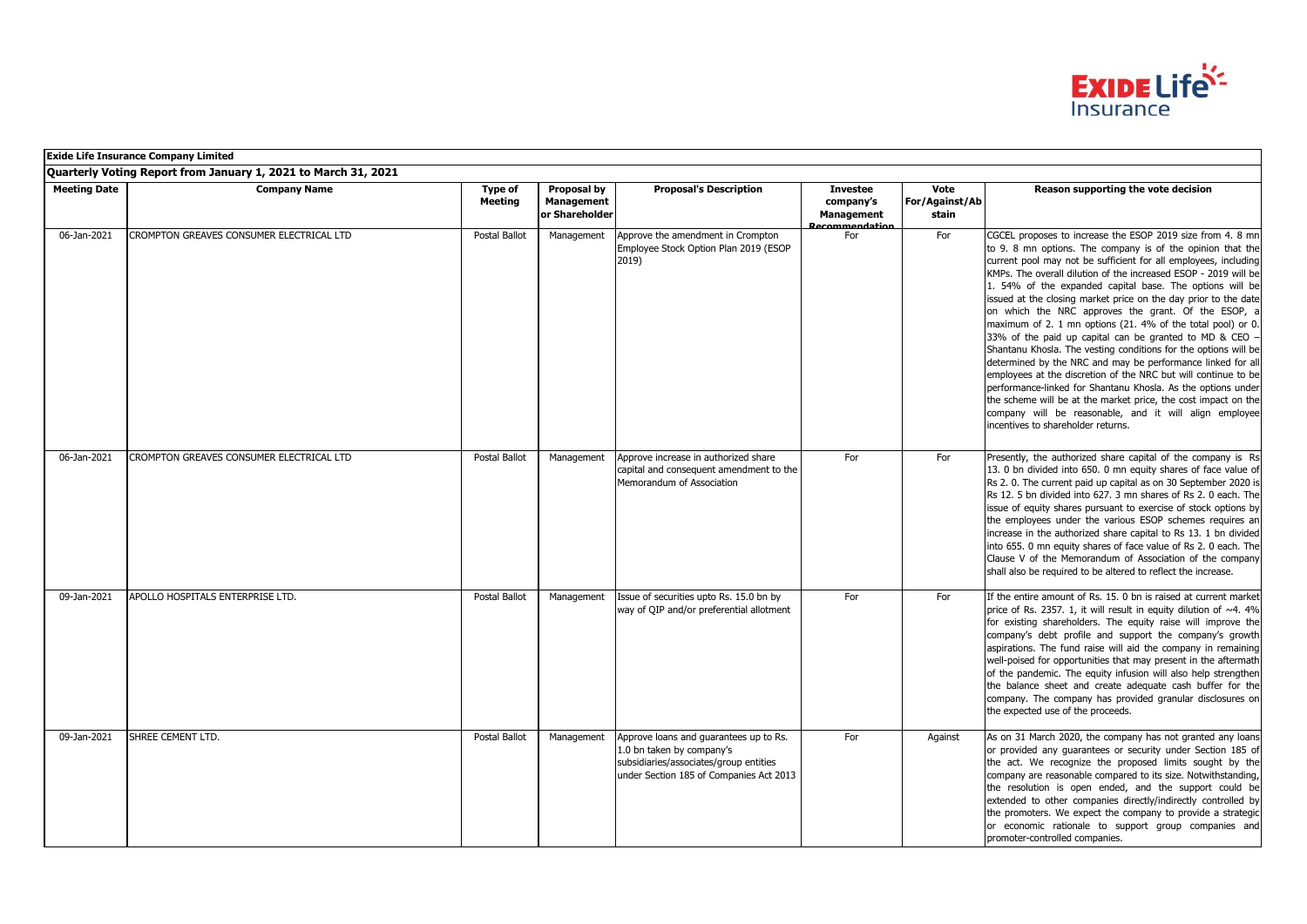

|                     | <b>Exide Life Insurance Company Limited</b>                    |                    |                                             |                                                                                                                                                          |                                                                    |                                 |                                                                                                                                                                                                                                                                                                                                                                                                                                                                                                                                                                                                                                                                                                                                                                                                                                                                                                                                                                                                                      |  |  |
|---------------------|----------------------------------------------------------------|--------------------|---------------------------------------------|----------------------------------------------------------------------------------------------------------------------------------------------------------|--------------------------------------------------------------------|---------------------------------|----------------------------------------------------------------------------------------------------------------------------------------------------------------------------------------------------------------------------------------------------------------------------------------------------------------------------------------------------------------------------------------------------------------------------------------------------------------------------------------------------------------------------------------------------------------------------------------------------------------------------------------------------------------------------------------------------------------------------------------------------------------------------------------------------------------------------------------------------------------------------------------------------------------------------------------------------------------------------------------------------------------------|--|--|
|                     | Quarterly Voting Report from January 1, 2021 to March 31, 2021 |                    |                                             |                                                                                                                                                          |                                                                    |                                 |                                                                                                                                                                                                                                                                                                                                                                                                                                                                                                                                                                                                                                                                                                                                                                                                                                                                                                                                                                                                                      |  |  |
| <b>Meeting Date</b> | <b>Company Name</b>                                            | Type of<br>Meeting | Proposal by<br>Management<br>or Shareholder | <b>Proposal's Description</b>                                                                                                                            | <b>Investee</b><br>company's<br><b>Management</b><br>ecommendation | Vote<br>For/Against/Ab<br>stain | Reason supporting the vote decision                                                                                                                                                                                                                                                                                                                                                                                                                                                                                                                                                                                                                                                                                                                                                                                                                                                                                                                                                                                  |  |  |
| 06-Jan-2021         | CROMPTON GREAVES CONSUMER ELECTRICAL LTD                       | Postal Ballot      | Management                                  | Approve the amendment in Crompton<br>Employee Stock Option Plan 2019 (ESOP<br>2019)                                                                      | For                                                                | For                             | CGCEL proposes to increase the ESOP 2019 size from 4. 8 mn<br>to 9. 8 mn options. The company is of the opinion that the<br>current pool may not be sufficient for all employees, including<br>KMPs. The overall dilution of the increased ESOP - 2019 will be<br>1. 54% of the expanded capital base. The options will be<br>issued at the closing market price on the day prior to the date<br>on which the NRC approves the grant. Of the ESOP, a<br>maximum of 2. 1 mn options (21. 4% of the total pool) or 0.<br>33% of the paid up capital can be granted to MD & CEO -<br>Shantanu Khosla. The vesting conditions for the options will be<br>determined by the NRC and may be performance linked for all<br>employees at the discretion of the NRC but will continue to be<br>performance-linked for Shantanu Khosla. As the options under<br>the scheme will be at the market price, the cost impact on the<br>company will be reasonable, and it will align employee<br>incentives to shareholder returns. |  |  |
| 06-Jan-2021         | CROMPTON GREAVES CONSUMER ELECTRICAL LTD                       | Postal Ballot      | Management                                  | Approve increase in authorized share<br>capital and consequent amendment to the<br>Memorandum of Association                                             | For                                                                | For                             | Presently, the authorized share capital of the company is Rs<br>13. 0 bn divided into 650. 0 mn equity shares of face value of<br>Rs 2.0. The current paid up capital as on 30 September 2020 is<br>Rs 12. 5 bn divided into 627. 3 mn shares of Rs 2. 0 each. The<br>issue of equity shares pursuant to exercise of stock options by<br>the employees under the various ESOP schemes requires an<br>increase in the authorized share capital to Rs 13. 1 bn divided<br>into 655. 0 mn equity shares of face value of Rs 2. 0 each. The<br>Clause V of the Memorandum of Association of the company<br>shall also be required to be altered to reflect the increase.                                                                                                                                                                                                                                                                                                                                                 |  |  |
| 09-Jan-2021         | <b>APOLLO HOSPITALS ENTERPRISE LTD.</b>                        | Postal Ballot      | Management                                  | Issue of securities upto Rs. 15.0 bn by<br>way of QIP and/or preferential allotment                                                                      | For                                                                | For                             | If the entire amount of Rs. 15. 0 bn is raised at current market<br>price of Rs. 2357. 1, it will result in equity dilution of ~4. 4%<br>for existing shareholders. The equity raise will improve the<br>company's debt profile and support the company's growth<br>aspirations. The fund raise will aid the company in remaining<br>well-poised for opportunities that may present in the aftermath<br>of the pandemic. The equity infusion will also help strengthen<br>the balance sheet and create adequate cash buffer for the<br>company. The company has provided granular disclosures on<br>the expected use of the proceeds.                                                                                                                                                                                                                                                                                                                                                                                |  |  |
| 09-Jan-2021         | SHREE CEMENT LTD.                                              | Postal Ballot      | Management                                  | Approve loans and quarantees up to Rs.<br>1.0 bn taken by company's<br>subsidiaries/associates/group entities<br>under Section 185 of Companies Act 2013 | For                                                                | Against                         | As on 31 March 2020, the company has not granted any loans<br>or provided any quarantees or security under Section 185 of<br>the act. We recognize the proposed limits sought by the<br>company are reasonable compared to its size. Notwithstanding,<br>the resolution is open ended, and the support could be<br>extended to other companies directly/indirectly controlled by<br>the promoters. We expect the company to provide a strategic<br>or economic rationale to support group companies and<br>promoter-controlled companies.                                                                                                                                                                                                                                                                                                                                                                                                                                                                            |  |  |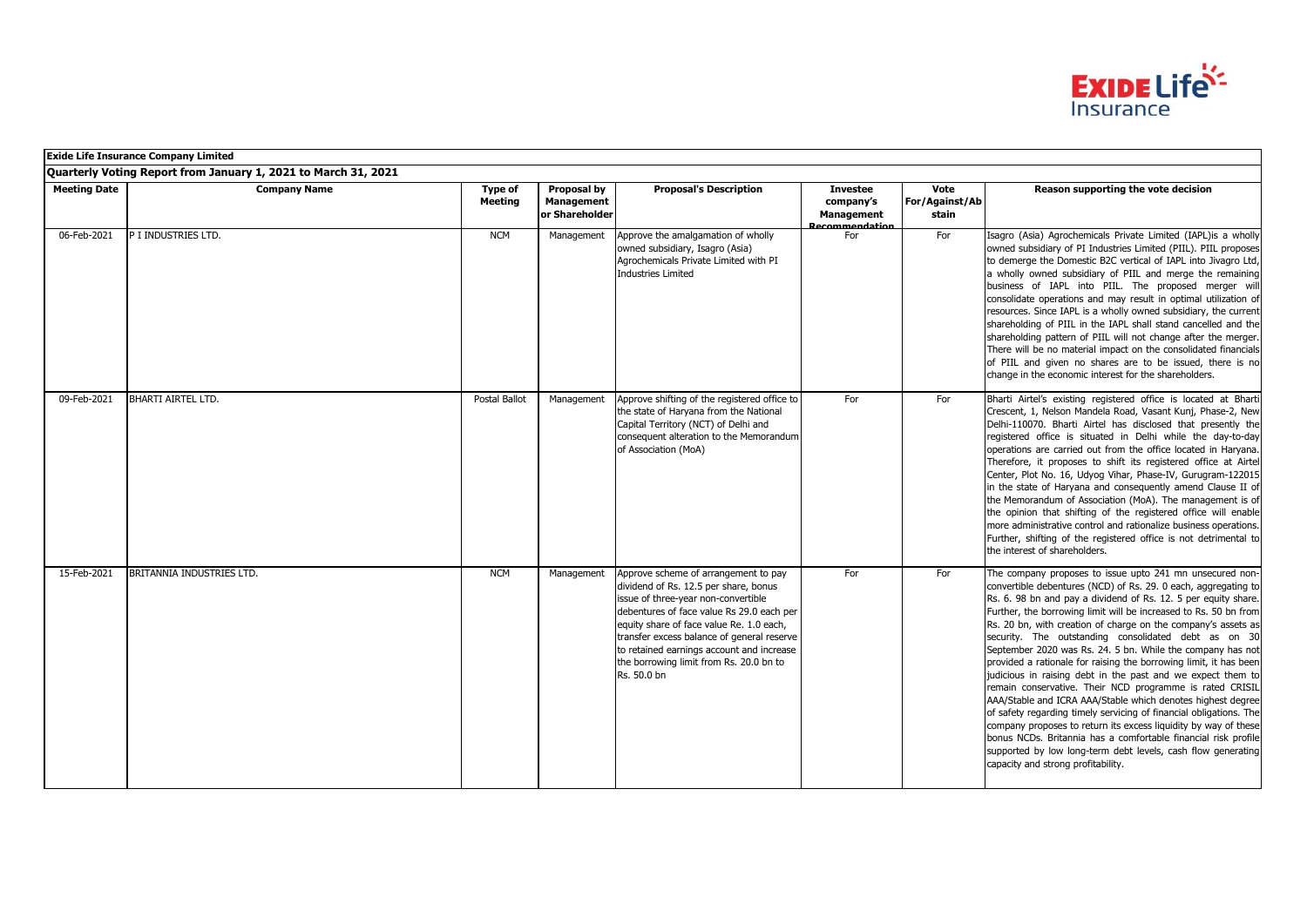

|                     | <b>Exide Life Insurance Company Limited</b>                    |                           |                                                    |                                                                                                                                                                                                                                                                                                                                                                    |                                                                            |                                 |                                                                                                                                                                                                                                                                                                                                                                                                                                                                                                                                                                                                                                                                                                                                                                                                                                                                                                                                                                                                                                         |
|---------------------|----------------------------------------------------------------|---------------------------|----------------------------------------------------|--------------------------------------------------------------------------------------------------------------------------------------------------------------------------------------------------------------------------------------------------------------------------------------------------------------------------------------------------------------------|----------------------------------------------------------------------------|---------------------------------|-----------------------------------------------------------------------------------------------------------------------------------------------------------------------------------------------------------------------------------------------------------------------------------------------------------------------------------------------------------------------------------------------------------------------------------------------------------------------------------------------------------------------------------------------------------------------------------------------------------------------------------------------------------------------------------------------------------------------------------------------------------------------------------------------------------------------------------------------------------------------------------------------------------------------------------------------------------------------------------------------------------------------------------------|
|                     | Quarterly Voting Report from January 1, 2021 to March 31, 2021 |                           |                                                    |                                                                                                                                                                                                                                                                                                                                                                    |                                                                            |                                 |                                                                                                                                                                                                                                                                                                                                                                                                                                                                                                                                                                                                                                                                                                                                                                                                                                                                                                                                                                                                                                         |
| <b>Meeting Date</b> | <b>Company Name</b>                                            | Type of<br><b>Meeting</b> | Proposal by<br><b>Management</b><br>or Shareholder | <b>Proposal's Description</b>                                                                                                                                                                                                                                                                                                                                      | <b>Investee</b><br>company's<br><b>Management</b><br><b>Perommendation</b> | Vote<br>For/Against/Ab<br>stain | Reason supporting the vote decision                                                                                                                                                                                                                                                                                                                                                                                                                                                                                                                                                                                                                                                                                                                                                                                                                                                                                                                                                                                                     |
| 06-Feb-2021         | P I INDUSTRIES LTD.                                            | <b>NCM</b>                | Management                                         | Approve the amalgamation of wholly<br>owned subsidiary, Isagro (Asia)<br>Agrochemicals Private Limited with PI<br><b>Industries Limited</b>                                                                                                                                                                                                                        | For                                                                        | For                             | Isagro (Asia) Agrochemicals Private Limited (IAPL)is a wholly<br>owned subsidiary of PI Industries Limited (PIIL). PIIL proposes<br>to demerge the Domestic B2C vertical of IAPL into Jivagro Ltd,<br>a wholly owned subsidiary of PIIL and merge the remaining<br>business of IAPL into PIIL. The proposed merger will<br>consolidate operations and may result in optimal utilization of<br>resources. Since IAPL is a wholly owned subsidiary, the current<br>shareholding of PIIL in the IAPL shall stand cancelled and the<br>shareholding pattern of PIIL will not change after the merger.<br>There will be no material impact on the consolidated financials<br>of PIIL and given no shares are to be issued, there is no<br>change in the economic interest for the shareholders.                                                                                                                                                                                                                                              |
| 09-Feb-2021         | <b>BHARTI AIRTEL LTD.</b>                                      | Postal Ballot             | Management                                         | Approve shifting of the registered office to<br>the state of Haryana from the National<br>Capital Territory (NCT) of Delhi and<br>consequent alteration to the Memorandum<br>of Association (MoA)                                                                                                                                                                  | For                                                                        | For                             | Bharti Airtel's existing registered office is located at Bharti<br>Crescent, 1, Nelson Mandela Road, Vasant Kunj, Phase-2, New<br>Delhi-110070. Bharti Airtel has disclosed that presently the<br>registered office is situated in Delhi while the day-to-day<br>operations are carried out from the office located in Haryana.<br>Therefore, it proposes to shift its registered office at Airtel<br>Center, Plot No. 16, Udyog Vihar, Phase-IV, Gurugram-122015<br>in the state of Haryana and consequently amend Clause II of<br>the Memorandum of Association (MoA). The management is of<br>the opinion that shifting of the registered office will enable<br>more administrative control and rationalize business operations.<br>Further, shifting of the registered office is not detrimental to<br>the interest of shareholders.                                                                                                                                                                                                |
| 15-Feb-2021         | BRITANNIA INDUSTRIES LTD.                                      | <b>NCM</b>                | Management                                         | Approve scheme of arrangement to pay<br>dividend of Rs. 12.5 per share, bonus<br>issue of three-year non-convertible<br>debentures of face value Rs 29.0 each per<br>equity share of face value Re. 1.0 each,<br>transfer excess balance of general reserve<br>to retained earnings account and increase<br>the borrowing limit from Rs. 20.0 bn to<br>Rs. 50.0 bn | For                                                                        | For                             | The company proposes to issue upto 241 mn unsecured non-<br>convertible debentures (NCD) of Rs. 29. 0 each, aggregating to<br>Rs. 6. 98 bn and pay a dividend of Rs. 12. 5 per equity share.<br>Further, the borrowing limit will be increased to Rs. 50 bn from<br>Rs. 20 bn, with creation of charge on the company's assets as<br>security. The outstanding consolidated debt as on 30<br>September 2020 was Rs. 24. 5 bn. While the company has not<br>provided a rationale for raising the borrowing limit, it has been<br>judicious in raising debt in the past and we expect them to<br>remain conservative. Their NCD programme is rated CRISIL<br>AAA/Stable and ICRA AAA/Stable which denotes highest degree<br>of safety regarding timely servicing of financial obligations. The<br>company proposes to return its excess liquidity by way of these<br>bonus NCDs. Britannia has a comfortable financial risk profile<br>supported by low long-term debt levels, cash flow generating<br>capacity and strong profitability. |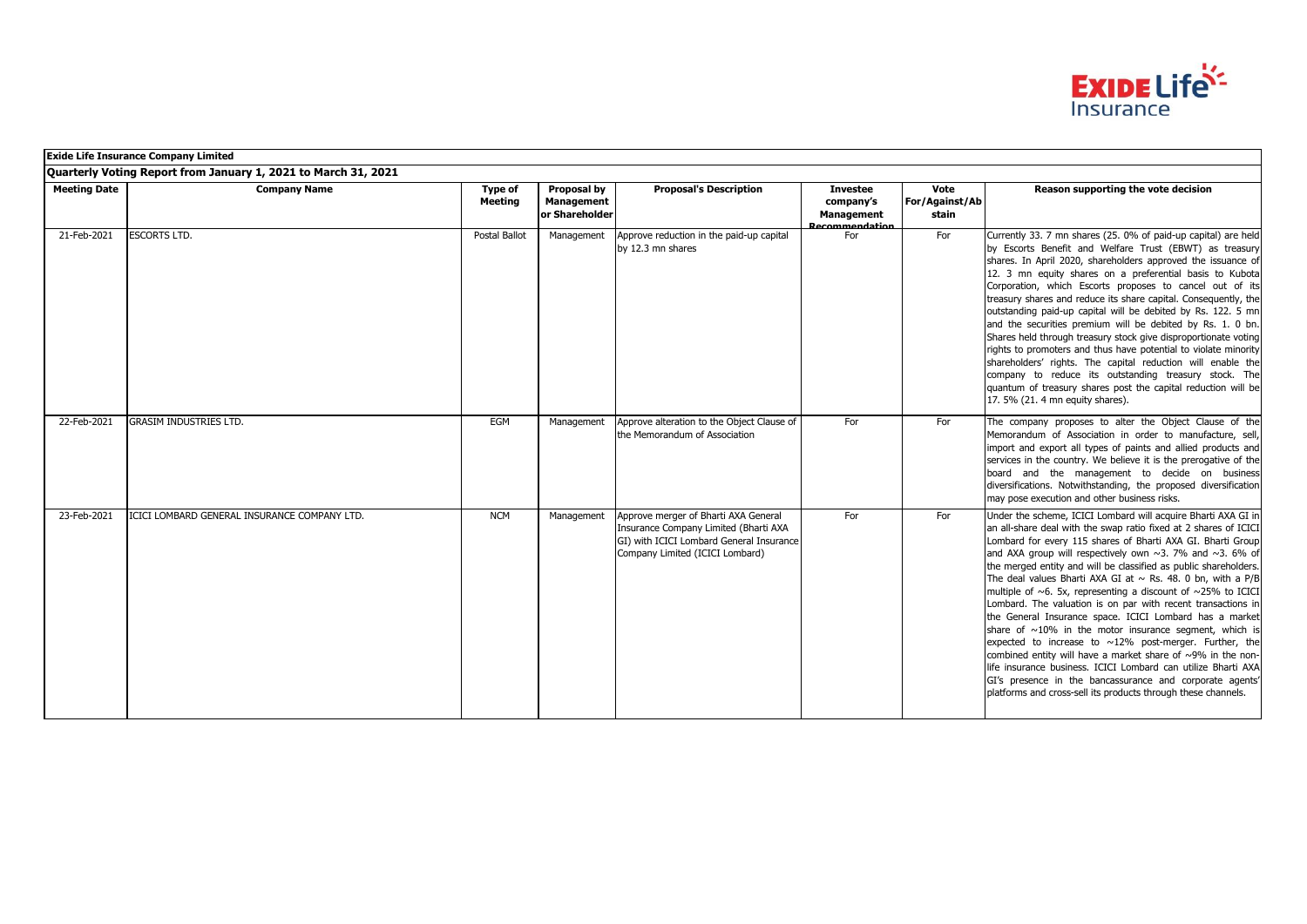

|                     | <b>Exide Life Insurance Company Limited</b>                    |                    |                                             |                                                                                                                                                              |                                                                     |                                 |                                                                                                                                                                                                                                                                                                                                                                                                                                                                                                                                                                                                                                                                                                                                                                                                                                                                                                                                                                                                                      |  |  |
|---------------------|----------------------------------------------------------------|--------------------|---------------------------------------------|--------------------------------------------------------------------------------------------------------------------------------------------------------------|---------------------------------------------------------------------|---------------------------------|----------------------------------------------------------------------------------------------------------------------------------------------------------------------------------------------------------------------------------------------------------------------------------------------------------------------------------------------------------------------------------------------------------------------------------------------------------------------------------------------------------------------------------------------------------------------------------------------------------------------------------------------------------------------------------------------------------------------------------------------------------------------------------------------------------------------------------------------------------------------------------------------------------------------------------------------------------------------------------------------------------------------|--|--|
|                     | Quarterly Voting Report from January 1, 2021 to March 31, 2021 |                    |                                             |                                                                                                                                                              |                                                                     |                                 |                                                                                                                                                                                                                                                                                                                                                                                                                                                                                                                                                                                                                                                                                                                                                                                                                                                                                                                                                                                                                      |  |  |
| <b>Meeting Date</b> | <b>Company Name</b>                                            | Type of<br>Meeting | Proposal by<br>Management<br>or Shareholder | <b>Proposal's Description</b>                                                                                                                                | <b>Investee</b><br>company's<br><b>Management</b><br>Recommendation | Vote<br>For/Against/Ab<br>stain | Reason supporting the vote decision                                                                                                                                                                                                                                                                                                                                                                                                                                                                                                                                                                                                                                                                                                                                                                                                                                                                                                                                                                                  |  |  |
| 21-Feb-2021         | <b>ESCORTS LTD.</b>                                            | Postal Ballot      | Management                                  | Approve reduction in the paid-up capital<br>by 12.3 mn shares                                                                                                | For                                                                 | For                             | Currently 33. 7 mn shares (25. 0% of paid-up capital) are held<br>by Escorts Benefit and Welfare Trust (EBWT) as treasury<br>shares. In April 2020, shareholders approved the issuance of<br>12. 3 mn equity shares on a preferential basis to Kubota<br>Corporation, which Escorts proposes to cancel out of its<br>treasury shares and reduce its share capital. Consequently, the<br>outstanding paid-up capital will be debited by Rs. 122. 5 mn<br>and the securities premium will be debited by Rs. 1. 0 bn.<br>Shares held through treasury stock give disproportionate voting<br>rights to promoters and thus have potential to violate minority<br>shareholders' rights. The capital reduction will enable the<br>company to reduce its outstanding treasury stock. The<br>quantum of treasury shares post the capital reduction will be<br>17. 5% (21. 4 mn equity shares).                                                                                                                                |  |  |
| 22-Feb-2021         | <b>GRASIM INDUSTRIES LTD.</b>                                  | EGM                | Management                                  | Approve alteration to the Object Clause of<br>the Memorandum of Association                                                                                  | For                                                                 | For                             | The company proposes to alter the Object Clause of the<br>Memorandum of Association in order to manufacture, sell,<br>import and export all types of paints and allied products and<br>services in the country. We believe it is the prerogative of the<br>board and the management to decide on business<br>diversifications. Notwithstanding, the proposed diversification<br>may pose execution and other business risks.                                                                                                                                                                                                                                                                                                                                                                                                                                                                                                                                                                                         |  |  |
| 23-Feb-2021         | ICICI LOMBARD GENERAL INSURANCE COMPANY LTD.                   | <b>NCM</b>         | Management                                  | Approve merger of Bharti AXA General<br>Insurance Company Limited (Bharti AXA<br>GI) with ICICI Lombard General Insurance<br>Company Limited (ICICI Lombard) | For                                                                 | For                             | Under the scheme, ICICI Lombard will acquire Bharti AXA GI in<br>an all-share deal with the swap ratio fixed at 2 shares of ICICI<br>Lombard for every 115 shares of Bharti AXA GI. Bharti Group<br>and AXA group will respectively own $\sim$ 3. 7% and $\sim$ 3. 6% of<br>the merged entity and will be classified as public shareholders.<br>The deal values Bharti AXA GI at $\sim$ Rs. 48. 0 bn, with a P/B<br>multiple of $\sim$ 6. 5x, representing a discount of $\sim$ 25% to ICICI<br>Lombard. The valuation is on par with recent transactions in<br>the General Insurance space. ICICI Lombard has a market<br>share of $\sim$ 10% in the motor insurance segment, which is<br>expected to increase to $\sim$ 12% post-merger. Further, the<br>combined entity will have a market share of ~9% in the non-<br>life insurance business. ICICI Lombard can utilize Bharti AXA<br>GI's presence in the bancassurance and corporate agents'<br>platforms and cross-sell its products through these channels. |  |  |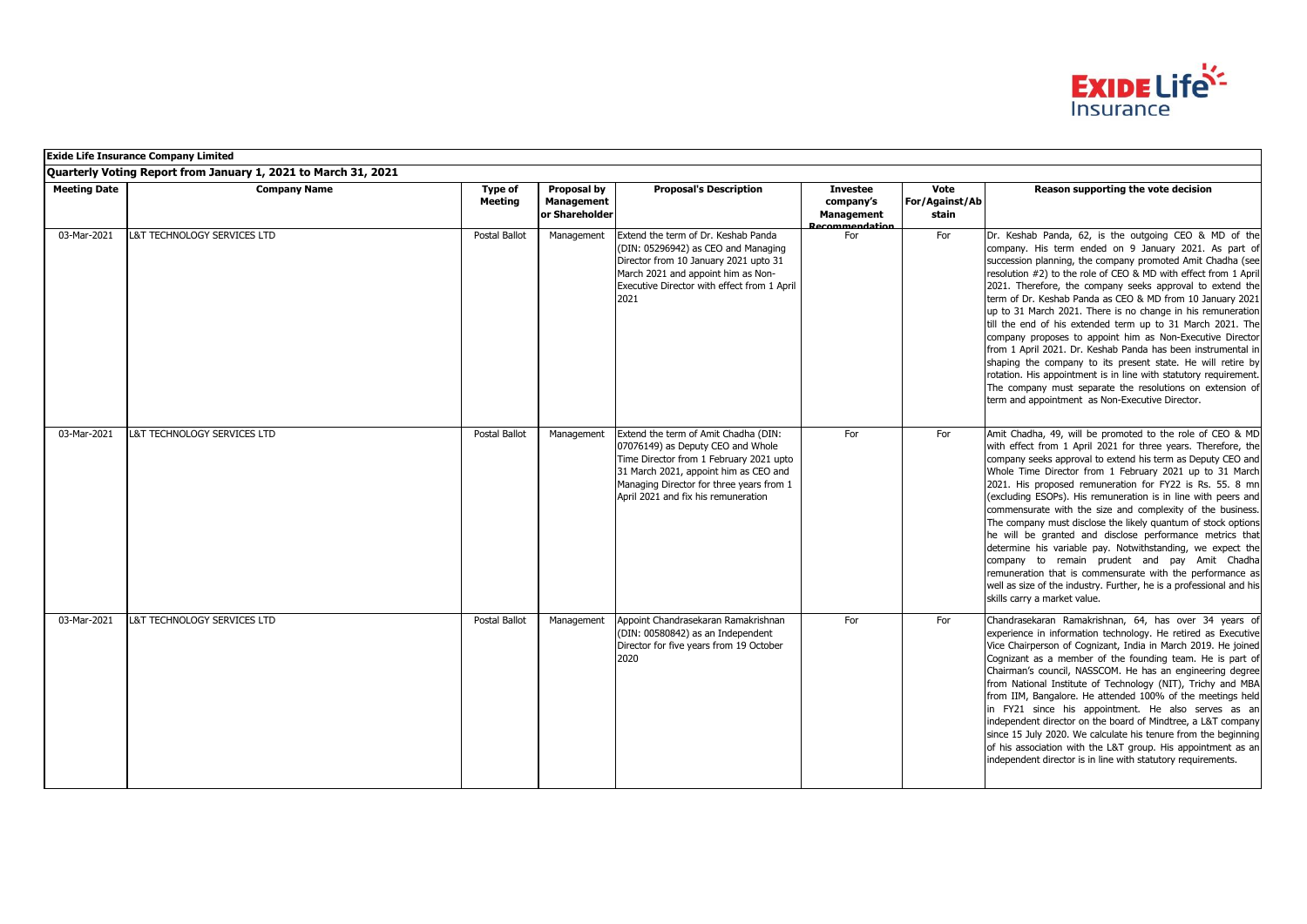

|                     | <b>Exide Life Insurance Company Limited</b>                    |                           |                                                    |                                                                                                                                                                                                                                                  |                                                              |                                 |                                                                                                                                                                                                                                                                                                                                                                                                                                                                                                                                                                                                                                                                                                                                                                                                                                                                                        |
|---------------------|----------------------------------------------------------------|---------------------------|----------------------------------------------------|--------------------------------------------------------------------------------------------------------------------------------------------------------------------------------------------------------------------------------------------------|--------------------------------------------------------------|---------------------------------|----------------------------------------------------------------------------------------------------------------------------------------------------------------------------------------------------------------------------------------------------------------------------------------------------------------------------------------------------------------------------------------------------------------------------------------------------------------------------------------------------------------------------------------------------------------------------------------------------------------------------------------------------------------------------------------------------------------------------------------------------------------------------------------------------------------------------------------------------------------------------------------|
|                     | Quarterly Voting Report from January 1, 2021 to March 31, 2021 |                           |                                                    |                                                                                                                                                                                                                                                  |                                                              |                                 |                                                                                                                                                                                                                                                                                                                                                                                                                                                                                                                                                                                                                                                                                                                                                                                                                                                                                        |
| <b>Meeting Date</b> | <b>Company Name</b>                                            | Type of<br><b>Meeting</b> | Proposal by<br><b>Management</b><br>or Shareholder | <b>Proposal's Description</b>                                                                                                                                                                                                                    | <b>Investee</b><br>company's<br>Management<br>Recommendation | Vote<br>For/Against/Ab<br>stain | Reason supporting the vote decision                                                                                                                                                                                                                                                                                                                                                                                                                                                                                                                                                                                                                                                                                                                                                                                                                                                    |
| 03-Mar-2021         | L&T TECHNOLOGY SERVICES LTD                                    | Postal Ballot             | Management                                         | Extend the term of Dr. Keshab Panda<br>(DIN: 05296942) as CEO and Managing<br>Director from 10 January 2021 upto 31<br>March 2021 and appoint him as Non-<br>Executive Director with effect from 1 April<br>2021                                 | For                                                          | For                             | Dr. Keshab Panda, 62, is the outgoing CEO & MD of the<br>company. His term ended on 9 January 2021. As part of<br>succession planning, the company promoted Amit Chadha (see<br>resolution #2) to the role of CEO & MD with effect from 1 April<br>2021. Therefore, the company seeks approval to extend the<br>term of Dr. Keshab Panda as CEO & MD from 10 January 2021<br>up to 31 March 2021. There is no change in his remuneration<br>till the end of his extended term up to 31 March 2021. The<br>company proposes to appoint him as Non-Executive Director<br>from 1 April 2021. Dr. Keshab Panda has been instrumental in<br>shaping the company to its present state. He will retire by<br>rotation. His appointment is in line with statutory requirement.<br>The company must separate the resolutions on extension of<br>term and appointment as Non-Executive Director. |
| 03-Mar-2021         | L&T TECHNOLOGY SERVICES LTD                                    | <b>Postal Ballot</b>      | Management                                         | Extend the term of Amit Chadha (DIN:<br>07076149) as Deputy CEO and Whole<br>Time Director from 1 February 2021 upto<br>31 March 2021, appoint him as CEO and<br>Managing Director for three years from 1<br>April 2021 and fix his remuneration | For                                                          | For                             | Amit Chadha, 49, will be promoted to the role of CEO & MD<br>with effect from 1 April 2021 for three years. Therefore, the<br>company seeks approval to extend his term as Deputy CEO and<br>Whole Time Director from 1 February 2021 up to 31 March<br>2021. His proposed remuneration for FY22 is Rs. 55. 8 mn<br>(excluding ESOPs). His remuneration is in line with peers and<br>commensurate with the size and complexity of the business.<br>The company must disclose the likely quantum of stock options<br>he will be granted and disclose performance metrics that<br>determine his variable pay. Notwithstanding, we expect the<br>company to remain prudent and pay Amit Chadha<br>remuneration that is commensurate with the performance as<br>well as size of the industry. Further, he is a professional and his<br>skills carry a market value.                        |
| 03-Mar-2021         | L&T TECHNOLOGY SERVICES LTD                                    | Postal Ballot             | Management                                         | Appoint Chandrasekaran Ramakrishnan<br>(DIN: 00580842) as an Independent<br>Director for five years from 19 October<br>2020                                                                                                                      | For                                                          | For                             | Chandrasekaran Ramakrishnan, 64, has over 34 years of<br>experience in information technology. He retired as Executive<br>Vice Chairperson of Cognizant, India in March 2019. He joined<br>Cognizant as a member of the founding team. He is part of<br>Chairman's council, NASSCOM. He has an engineering degree<br>from National Institute of Technology (NIT), Trichy and MBA<br>from IIM, Bangalore. He attended 100% of the meetings held<br>in FY21 since his appointment. He also serves as an<br>independent director on the board of Mindtree, a L&T company<br>since 15 July 2020. We calculate his tenure from the beginning<br>of his association with the L&T group. His appointment as an<br>independent director is in line with statutory requirements.                                                                                                                |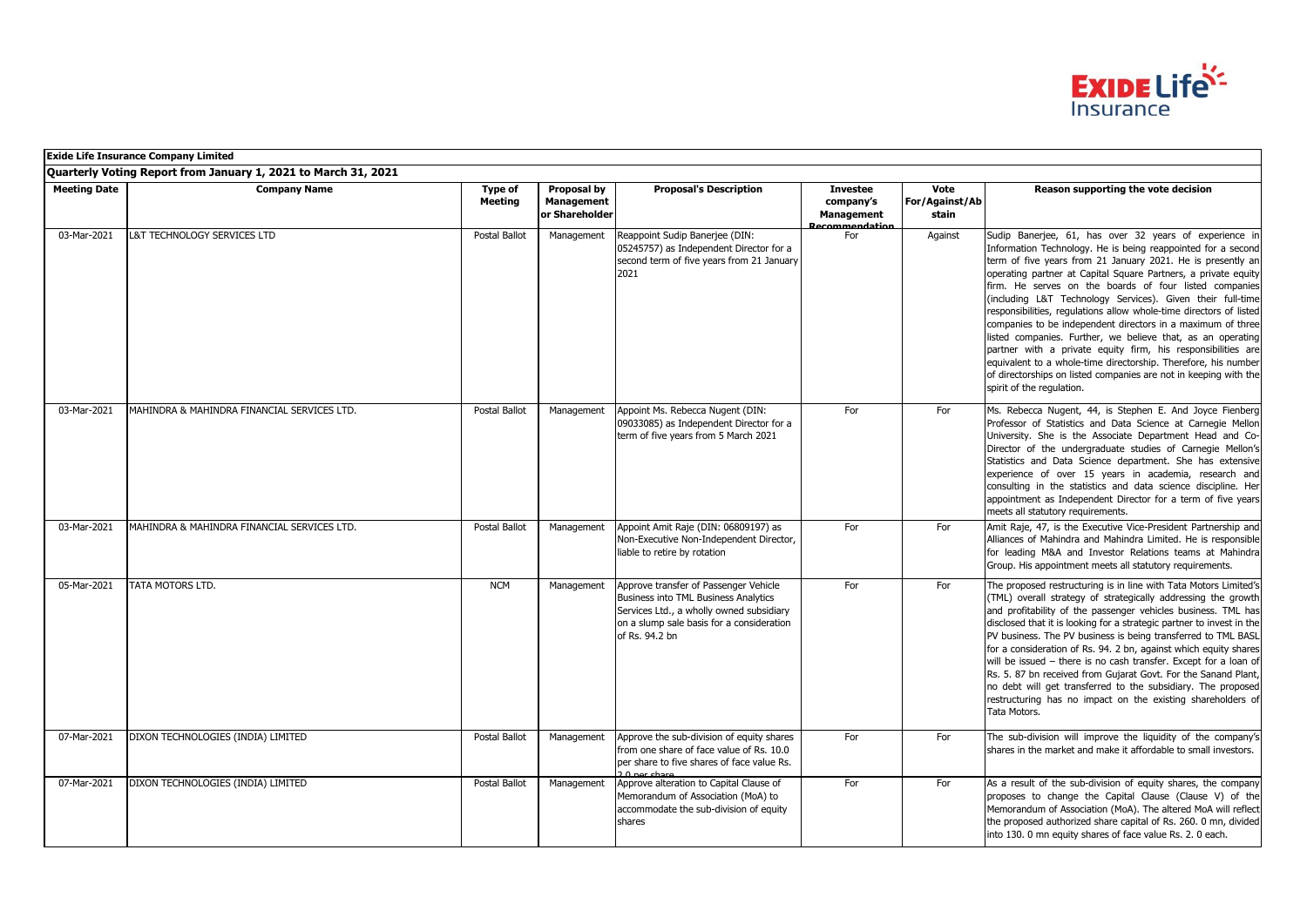

|                     | <b>Exide Life Insurance Company Limited</b>                    |                           |                                             |                                                                                                                                                                                          |                                                                    |                                 |                                                                                                                                                                                                                                                                                                                                                                                                                                                                                                                                                                                                                                                                                                                                                                                                                        |
|---------------------|----------------------------------------------------------------|---------------------------|---------------------------------------------|------------------------------------------------------------------------------------------------------------------------------------------------------------------------------------------|--------------------------------------------------------------------|---------------------------------|------------------------------------------------------------------------------------------------------------------------------------------------------------------------------------------------------------------------------------------------------------------------------------------------------------------------------------------------------------------------------------------------------------------------------------------------------------------------------------------------------------------------------------------------------------------------------------------------------------------------------------------------------------------------------------------------------------------------------------------------------------------------------------------------------------------------|
|                     | Quarterly Voting Report from January 1, 2021 to March 31, 2021 |                           |                                             |                                                                                                                                                                                          |                                                                    |                                 |                                                                                                                                                                                                                                                                                                                                                                                                                                                                                                                                                                                                                                                                                                                                                                                                                        |
| <b>Meeting Date</b> | <b>Company Name</b>                                            | Type of<br><b>Meeting</b> | Proposal by<br>Management<br>or Shareholder | <b>Proposal's Description</b>                                                                                                                                                            | <b>Investee</b><br>company's<br><b>Management</b><br>ecommendation | Vote<br>For/Against/Ab<br>stain | Reason supporting the vote decision                                                                                                                                                                                                                                                                                                                                                                                                                                                                                                                                                                                                                                                                                                                                                                                    |
| 03-Mar-2021         | L&T TECHNOLOGY SERVICES LTD                                    | Postal Ballot             | Management                                  | Reappoint Sudip Banerjee (DIN:<br>05245757) as Independent Director for a<br>second term of five years from 21 January<br>2021                                                           | For                                                                | Against                         | Sudip Banerjee, 61, has over 32 years of experience in<br>Information Technology. He is being reappointed for a second<br>term of five years from 21 January 2021. He is presently an<br>operating partner at Capital Square Partners, a private equity<br>firm. He serves on the boards of four listed companies<br>(including L&T Technology Services). Given their full-time<br>responsibilities, regulations allow whole-time directors of listed<br>companies to be independent directors in a maximum of three<br>listed companies. Further, we believe that, as an operating<br>partner with a private equity firm, his responsibilities are<br>equivalent to a whole-time directorship. Therefore, his number<br>of directorships on listed companies are not in keeping with the<br>spirit of the regulation. |
| 03-Mar-2021         | MAHINDRA & MAHINDRA FINANCIAL SERVICES LTD.                    | Postal Ballot             | Management                                  | Appoint Ms. Rebecca Nugent (DIN:<br>09033085) as Independent Director for a<br>term of five years from 5 March 2021                                                                      | For                                                                | For                             | Ms. Rebecca Nugent, 44, is Stephen E. And Joyce Fienberg<br>Professor of Statistics and Data Science at Carnegie Mellon<br>University. She is the Associate Department Head and Co-<br>Director of the undergraduate studies of Carnegie Mellon's<br>Statistics and Data Science department. She has extensive<br>experience of over 15 years in academia, research and<br>consulting in the statistics and data science discipline. Her<br>appointment as Independent Director for a term of five years<br>meets all statutory requirements.                                                                                                                                                                                                                                                                          |
| 03-Mar-2021         | MAHINDRA & MAHINDRA FINANCIAL SERVICES LTD.                    | Postal Ballot             | Management                                  | Appoint Amit Raje (DIN: 06809197) as<br>Non-Executive Non-Independent Director,<br>liable to retire by rotation                                                                          | For                                                                | For                             | Amit Raje, 47, is the Executive Vice-President Partnership and<br>Alliances of Mahindra and Mahindra Limited. He is responsible<br>for leading M&A and Investor Relations teams at Mahindra<br>Group. His appointment meets all statutory requirements.                                                                                                                                                                                                                                                                                                                                                                                                                                                                                                                                                                |
| 05-Mar-2021         | <b>TATA MOTORS LTD.</b>                                        | <b>NCM</b>                | Management                                  | Approve transfer of Passenger Vehicle<br>Business into TML Business Analytics<br>Services Ltd., a wholly owned subsidiary<br>on a slump sale basis for a consideration<br>of Rs. 94.2 bn | For                                                                | For                             | The proposed restructuring is in line with Tata Motors Limited's<br>(TML) overall strategy of strategically addressing the growth<br>and profitability of the passenger vehicles business. TML has<br>disclosed that it is looking for a strategic partner to invest in the<br>PV business. The PV business is being transferred to TML BASL<br>for a consideration of Rs. 94. 2 bn, against which equity shares<br>will be issued - there is no cash transfer. Except for a loan of<br>Rs. 5. 87 bn received from Gujarat Govt. For the Sanand Plant,<br>no debt will get transferred to the subsidiary. The proposed<br>restructuring has no impact on the existing shareholders of<br>Tata Motors.                                                                                                                  |
| 07-Mar-2021         | DIXON TECHNOLOGIES (INDIA) LIMITED                             | Postal Ballot             | Management                                  | Approve the sub-division of equity shares<br>from one share of face value of Rs. 10.0<br>per share to five shares of face value Rs.                                                      | For                                                                | For                             | The sub-division will improve the liquidity of the company's<br>shares in the market and make it affordable to small investors.                                                                                                                                                                                                                                                                                                                                                                                                                                                                                                                                                                                                                                                                                        |
| 07-Mar-2021         | DIXON TECHNOLOGIES (INDIA) LIMITED                             | Postal Ballot             | Management                                  | Approve alteration to Capital Clause of<br>Memorandum of Association (MoA) to<br>accommodate the sub-division of equity<br>shares                                                        | For                                                                | For                             | As a result of the sub-division of equity shares, the company<br>proposes to change the Capital Clause (Clause V) of the<br>Memorandum of Association (MoA). The altered MoA will reflect<br>the proposed authorized share capital of Rs. 260. 0 mn, divided<br>into 130. 0 mn equity shares of face value Rs. 2. 0 each.                                                                                                                                                                                                                                                                                                                                                                                                                                                                                              |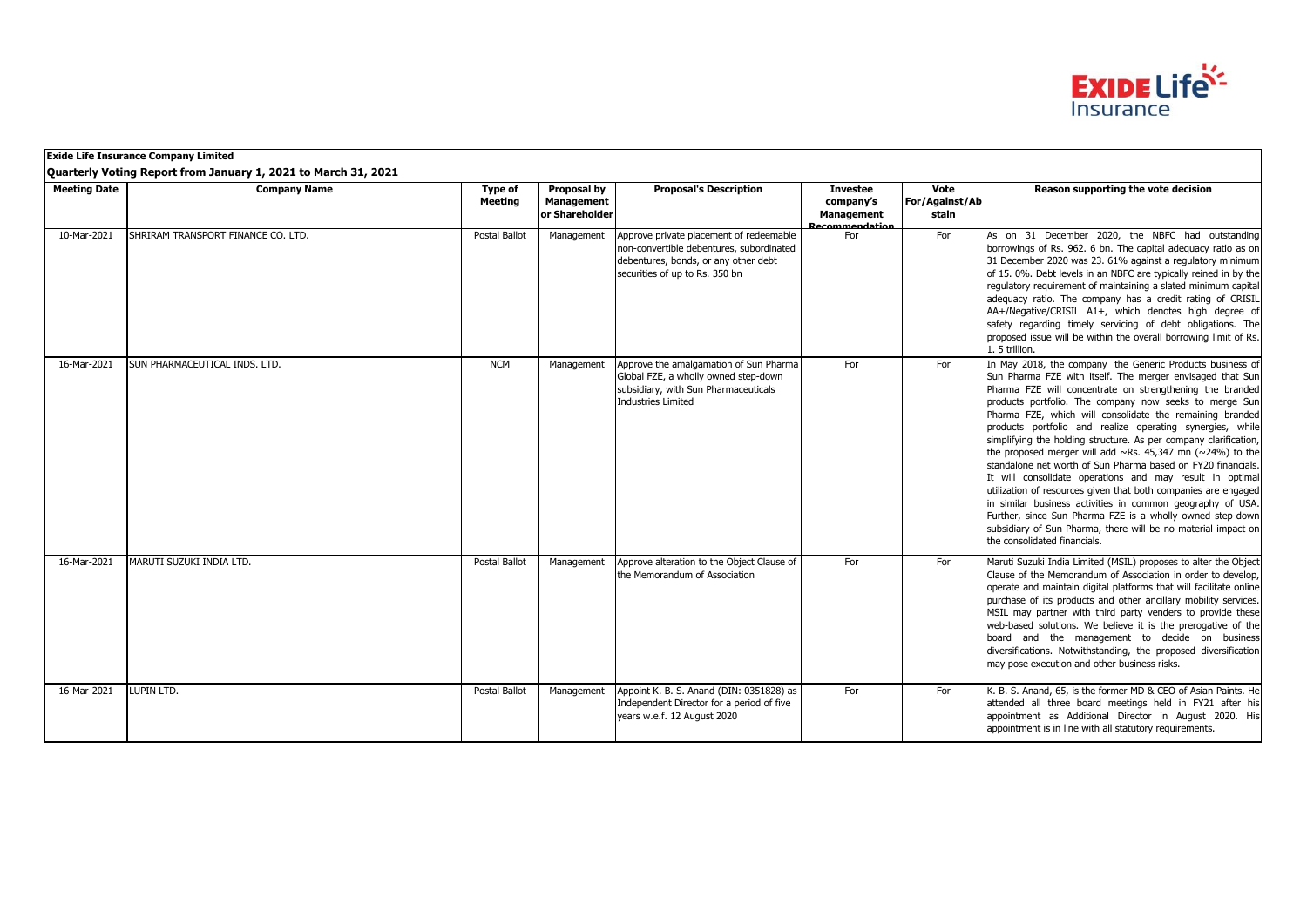

|                     | <b>Exide Life Insurance Company Limited</b>                    |                    |                                                    |                                                                                                                                                               |                                                                     |                                 |                                                                                                                                                                                                                                                                                                                                                                                                                                                                                                                                                                                                                                                                                                                                                                                                                                                                                                                                               |
|---------------------|----------------------------------------------------------------|--------------------|----------------------------------------------------|---------------------------------------------------------------------------------------------------------------------------------------------------------------|---------------------------------------------------------------------|---------------------------------|-----------------------------------------------------------------------------------------------------------------------------------------------------------------------------------------------------------------------------------------------------------------------------------------------------------------------------------------------------------------------------------------------------------------------------------------------------------------------------------------------------------------------------------------------------------------------------------------------------------------------------------------------------------------------------------------------------------------------------------------------------------------------------------------------------------------------------------------------------------------------------------------------------------------------------------------------|
|                     | Quarterly Voting Report from January 1, 2021 to March 31, 2021 |                    |                                                    |                                                                                                                                                               |                                                                     |                                 |                                                                                                                                                                                                                                                                                                                                                                                                                                                                                                                                                                                                                                                                                                                                                                                                                                                                                                                                               |
| <b>Meeting Date</b> | <b>Company Name</b>                                            | Type of<br>Meeting | Proposal by<br><b>Management</b><br>or Shareholder | <b>Proposal's Description</b>                                                                                                                                 | <b>Investee</b><br>company's<br><b>Management</b><br>Recommendation | Vote<br>For/Against/Ab<br>stain | Reason supporting the vote decision                                                                                                                                                                                                                                                                                                                                                                                                                                                                                                                                                                                                                                                                                                                                                                                                                                                                                                           |
| 10-Mar-2021         | SHRIRAM TRANSPORT FINANCE CO. LTD.                             | Postal Ballot      | Management                                         | Approve private placement of redeemable<br>non-convertible debentures, subordinated<br>debentures, bonds, or any other debt<br>securities of up to Rs. 350 bn | For                                                                 | For                             | As on 31 December 2020, the NBFC had outstanding<br>borrowings of Rs. 962. 6 bn. The capital adequacy ratio as on<br>31 December 2020 was 23. 61% against a regulatory minimum<br>of 15. 0%. Debt levels in an NBFC are typically reined in by the<br>regulatory requirement of maintaining a slated minimum capital<br>adequacy ratio. The company has a credit rating of CRISIL<br>AA+/Negative/CRISIL A1+, which denotes high degree of<br>safety regarding timely servicing of debt obligations. The<br>proposed issue will be within the overall borrowing limit of Rs.<br>1.5 trillion.                                                                                                                                                                                                                                                                                                                                                 |
| 16-Mar-2021         | SUN PHARMACEUTICAL INDS. LTD.                                  | <b>NCM</b>         | Management                                         | Approve the amalgamation of Sun Pharma<br>Global FZE, a wholly owned step-down<br>subsidiary, with Sun Pharmaceuticals<br><b>Industries Limited</b>           | For                                                                 | For                             | In May 2018, the company the Generic Products business of<br>Sun Pharma FZE with itself. The merger envisaged that Sun<br>Pharma FZE will concentrate on strengthening the branded<br>products portfolio. The company now seeks to merge Sun<br>Pharma FZE, which will consolidate the remaining branded<br>products portfolio and realize operating synergies, while<br>simplifying the holding structure. As per company clarification,<br>the proposed merger will add $\sim$ Rs. 45,347 mn ( $\sim$ 24%) to the<br>standalone net worth of Sun Pharma based on FY20 financials.<br>It will consolidate operations and may result in optimal<br>utilization of resources given that both companies are engaged<br>in similar business activities in common geography of USA.<br>Further, since Sun Pharma FZE is a wholly owned step-down<br>subsidiary of Sun Pharma, there will be no material impact on<br>the consolidated financials. |
| 16-Mar-2021         | MARUTI SUZUKI INDIA LTD.                                       | Postal Ballot      | Management                                         | Approve alteration to the Object Clause of<br>the Memorandum of Association                                                                                   | For                                                                 | For                             | Maruti Suzuki India Limited (MSIL) proposes to alter the Object<br>Clause of the Memorandum of Association in order to develop,<br>operate and maintain digital platforms that will facilitate online<br>purchase of its products and other ancillary mobility services.<br>MSIL may partner with third party venders to provide these<br>web-based solutions. We believe it is the prerogative of the<br>board and the management to decide on business<br>diversifications. Notwithstanding, the proposed diversification<br>may pose execution and other business risks.                                                                                                                                                                                                                                                                                                                                                                   |
| 16-Mar-2021         | LUPIN LTD.                                                     | Postal Ballot      | Management                                         | Appoint K. B. S. Anand (DIN: 0351828) as<br>Independent Director for a period of five<br>years w.e.f. 12 August 2020                                          | For                                                                 | For                             | K. B. S. Anand, 65, is the former MD & CEO of Asian Paints. He<br>attended all three board meetings held in FY21 after his<br>appointment as Additional Director in August 2020. His<br>appointment is in line with all statutory requirements.                                                                                                                                                                                                                                                                                                                                                                                                                                                                                                                                                                                                                                                                                               |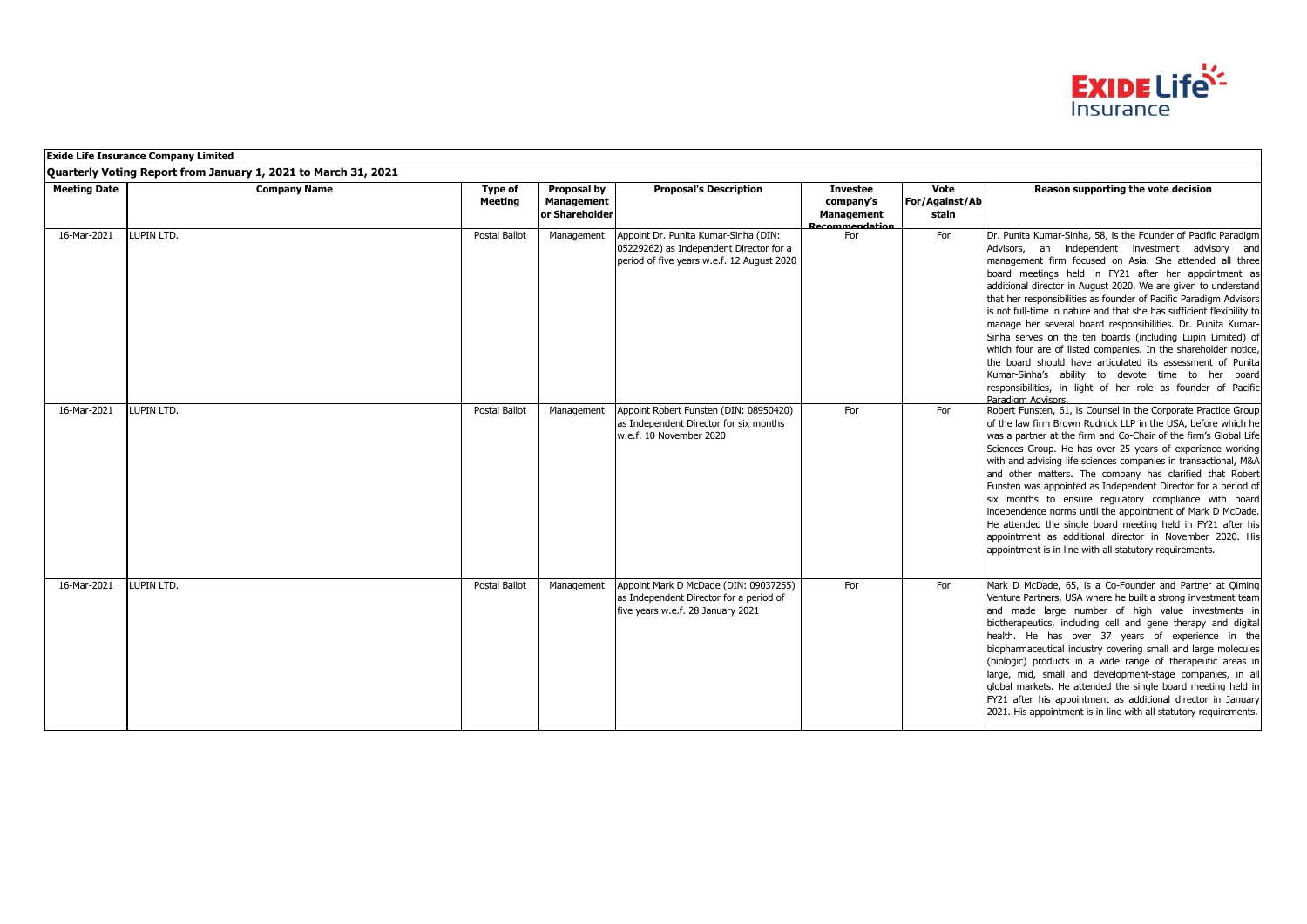

|                     | <b>Exide Life Insurance Company Limited</b>                    |                    |                                             |                                                                                                                               |                                                                     |                                 |                                                                                                                                                                                                                                                                                                                                                                                                                                                                                                                                                                                                                                                                                                                                                                                                                                                                 |  |  |  |
|---------------------|----------------------------------------------------------------|--------------------|---------------------------------------------|-------------------------------------------------------------------------------------------------------------------------------|---------------------------------------------------------------------|---------------------------------|-----------------------------------------------------------------------------------------------------------------------------------------------------------------------------------------------------------------------------------------------------------------------------------------------------------------------------------------------------------------------------------------------------------------------------------------------------------------------------------------------------------------------------------------------------------------------------------------------------------------------------------------------------------------------------------------------------------------------------------------------------------------------------------------------------------------------------------------------------------------|--|--|--|
|                     | Quarterly Voting Report from January 1, 2021 to March 31, 2021 |                    |                                             |                                                                                                                               |                                                                     |                                 |                                                                                                                                                                                                                                                                                                                                                                                                                                                                                                                                                                                                                                                                                                                                                                                                                                                                 |  |  |  |
| <b>Meeting Date</b> | <b>Company Name</b>                                            | Type of<br>Meeting | Proposal by<br>Management<br>or Shareholder | <b>Proposal's Description</b>                                                                                                 | <b>Investee</b><br>company's<br><b>Management</b><br>Recommendation | Vote<br>For/Against/Ab<br>stain | Reason supporting the vote decision                                                                                                                                                                                                                                                                                                                                                                                                                                                                                                                                                                                                                                                                                                                                                                                                                             |  |  |  |
| 16-Mar-2021         | LUPIN LTD.                                                     | Postal Ballot      | Management                                  | Appoint Dr. Punita Kumar-Sinha (DIN:<br>05229262) as Independent Director for a<br>period of five years w.e.f. 12 August 2020 | For                                                                 | For                             | Dr. Punita Kumar-Sinha, 58, is the Founder of Pacific Paradigm<br>Advisors, an independent investment advisory and<br>management firm focused on Asia. She attended all three<br>board meetings held in FY21 after her appointment as<br>additional director in August 2020. We are given to understand<br>that her responsibilities as founder of Pacific Paradigm Advisors<br>is not full-time in nature and that she has sufficient flexibility to<br>manage her several board responsibilities. Dr. Punita Kumar-<br>Sinha serves on the ten boards (including Lupin Limited) of<br>which four are of listed companies. In the shareholder notice,<br>the board should have articulated its assessment of Punita<br>Kumar-Sinha's ability to devote time to her board<br>responsibilities, in light of her role as founder of Pacific<br>Paradigm Advisors. |  |  |  |
| 16-Mar-2021         | LUPIN LTD.                                                     | Postal Ballot      | Management                                  | Appoint Robert Funsten (DIN: 08950420)<br>as Independent Director for six months<br>w.e.f. 10 November 2020                   | For                                                                 | For                             | Robert Funsten, 61, is Counsel in the Corporate Practice Group<br>of the law firm Brown Rudnick LLP in the USA, before which he<br>was a partner at the firm and Co-Chair of the firm's Global Life<br>Sciences Group. He has over 25 years of experience working<br>with and advising life sciences companies in transactional, M&A<br>and other matters. The company has clarified that Robert<br>Funsten was appointed as Independent Director for a period of<br>six months to ensure regulatory compliance with board<br>independence norms until the appointment of Mark D McDade.<br>He attended the single board meeting held in FY21 after his<br>appointment as additional director in November 2020. His<br>appointment is in line with all statutory requirements.                                                                                  |  |  |  |
| 16-Mar-2021         | LUPIN LTD.                                                     | Postal Ballot      | Management                                  | Appoint Mark D McDade (DIN: 09037255)<br>as Independent Director for a period of<br>five years w.e.f. 28 January 2021         | For                                                                 | For                             | Mark D McDade, 65, is a Co-Founder and Partner at Qiming<br>Venture Partners, USA where he built a strong investment team<br>and made large number of high value investments in<br>biotherapeutics, including cell and gene therapy and digital<br>health. He has over 37 years of experience in the<br>biopharmaceutical industry covering small and large molecules<br>(biologic) products in a wide range of therapeutic areas in<br>large, mid, small and development-stage companies, in all<br>global markets. He attended the single board meeting held in<br>FY21 after his appointment as additional director in January<br>2021. His appointment is in line with all statutory requirements.                                                                                                                                                          |  |  |  |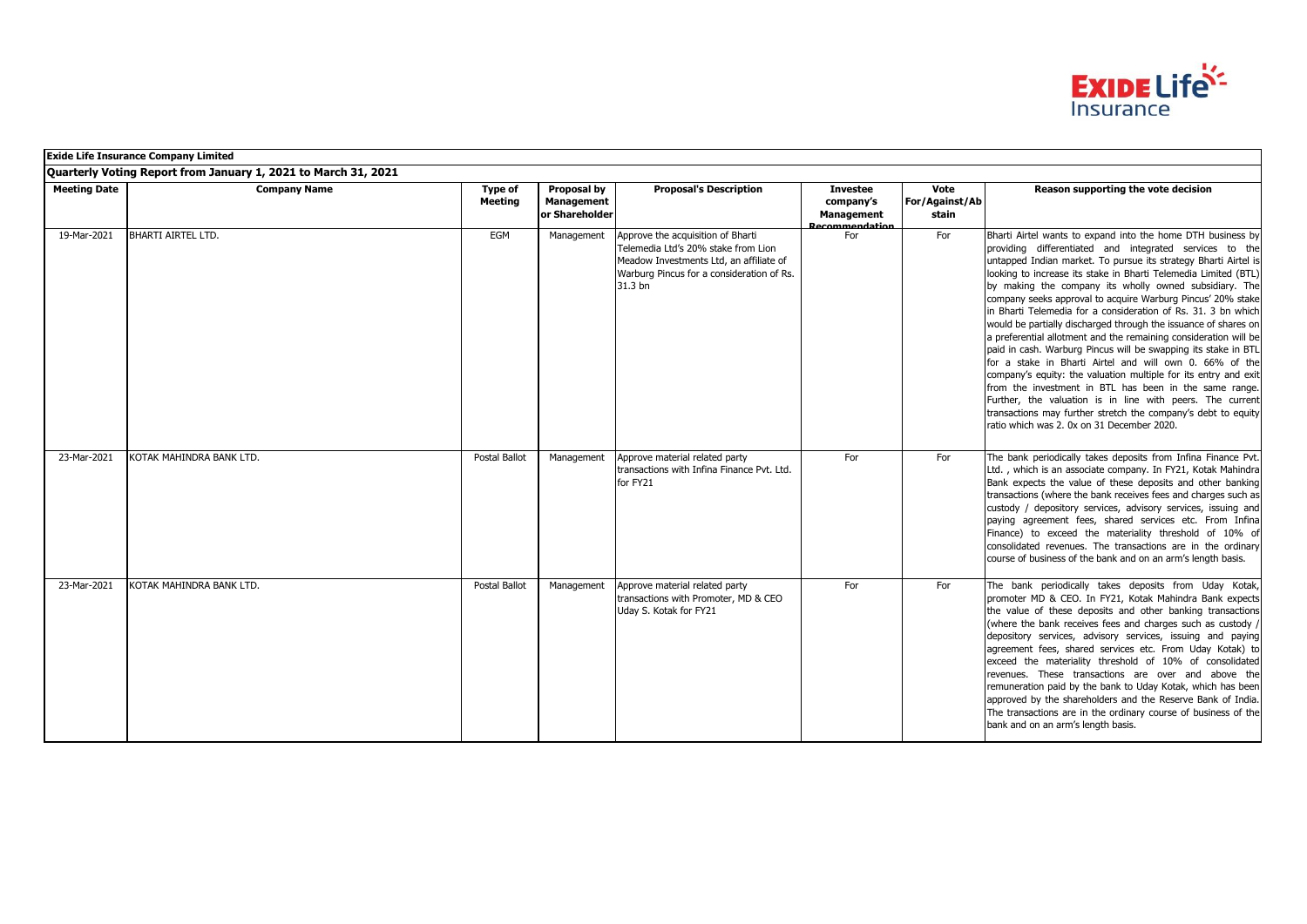

|                     | <b>Exide Life Insurance Company Limited</b>                    |                           |                                             |                                                                                                                                                                             |                                                                     |                                 |                                                                                                                                                                                                                                                                                                                                                                                                                                                                                                                                                                                                                                                                                                                                                                                                                                                                                                                                                                                                                                     |  |  |
|---------------------|----------------------------------------------------------------|---------------------------|---------------------------------------------|-----------------------------------------------------------------------------------------------------------------------------------------------------------------------------|---------------------------------------------------------------------|---------------------------------|-------------------------------------------------------------------------------------------------------------------------------------------------------------------------------------------------------------------------------------------------------------------------------------------------------------------------------------------------------------------------------------------------------------------------------------------------------------------------------------------------------------------------------------------------------------------------------------------------------------------------------------------------------------------------------------------------------------------------------------------------------------------------------------------------------------------------------------------------------------------------------------------------------------------------------------------------------------------------------------------------------------------------------------|--|--|
|                     | Quarterly Voting Report from January 1, 2021 to March 31, 2021 |                           |                                             |                                                                                                                                                                             |                                                                     |                                 |                                                                                                                                                                                                                                                                                                                                                                                                                                                                                                                                                                                                                                                                                                                                                                                                                                                                                                                                                                                                                                     |  |  |
| <b>Meeting Date</b> | <b>Company Name</b>                                            | Type of<br><b>Meeting</b> | Proposal by<br>Management<br>or Shareholder | <b>Proposal's Description</b>                                                                                                                                               | <b>Investee</b><br>company's<br><b>Management</b><br>Recommendation | Vote<br>For/Against/Ab<br>stain | Reason supporting the vote decision                                                                                                                                                                                                                                                                                                                                                                                                                                                                                                                                                                                                                                                                                                                                                                                                                                                                                                                                                                                                 |  |  |
| 19-Mar-2021         | <b>BHARTI AIRTEL LTD.</b>                                      | EGM                       | Management                                  | Approve the acquisition of Bharti<br>Telemedia Ltd's 20% stake from Lion<br>Meadow Investments Ltd, an affiliate of<br>Warburg Pincus for a consideration of Rs.<br>31.3 bn | For                                                                 | For                             | Bharti Airtel wants to expand into the home DTH business by<br>providing differentiated and integrated services to the<br>untapped Indian market. To pursue its strategy Bharti Airtel is<br>looking to increase its stake in Bharti Telemedia Limited (BTL)<br>by making the company its wholly owned subsidiary. The<br>company seeks approval to acquire Warburg Pincus' 20% stake<br>in Bharti Telemedia for a consideration of Rs. 31, 3 bn which<br>would be partially discharged through the issuance of shares on<br>a preferential allotment and the remaining consideration will be<br>paid in cash. Warburg Pincus will be swapping its stake in BTL<br>for a stake in Bharti Airtel and will own 0. 66% of the<br>company's equity: the valuation multiple for its entry and exit<br>from the investment in BTL has been in the same range.<br>Further, the valuation is in line with peers. The current<br>transactions may further stretch the company's debt to equity<br>ratio which was 2. 0x on 31 December 2020. |  |  |
| 23-Mar-2021         | KOTAK MAHINDRA BANK LTD.                                       | Postal Ballot             | Management                                  | Approve material related party<br>transactions with Infina Finance Pvt. Ltd.<br>for FY21                                                                                    | For                                                                 | For                             | The bank periodically takes deposits from Infina Finance Pvt.<br>Ltd., which is an associate company. In FY21, Kotak Mahindra<br>Bank expects the value of these deposits and other banking<br>transactions (where the bank receives fees and charges such as<br>custody / depository services, advisory services, issuing and<br>paying agreement fees, shared services etc. From Infina<br>Finance) to exceed the materiality threshold of 10% of<br>consolidated revenues. The transactions are in the ordinary<br>course of business of the bank and on an arm's length basis.                                                                                                                                                                                                                                                                                                                                                                                                                                                  |  |  |
| 23-Mar-2021         | KOTAK MAHINDRA BANK LTD.                                       | Postal Ballot             | Management                                  | Approve material related party<br>transactions with Promoter, MD & CEO<br>Uday S. Kotak for FY21                                                                            | For                                                                 | For                             | The bank periodically takes deposits from Uday Kotak,<br>promoter MD & CEO. In FY21, Kotak Mahindra Bank expects<br>the value of these deposits and other banking transactions<br>(where the bank receives fees and charges such as custody /<br>depository services, advisory services, issuing and paying<br>agreement fees, shared services etc. From Uday Kotak) to<br>exceed the materiality threshold of 10% of consolidated<br>revenues. These transactions are over and above the<br>remuneration paid by the bank to Uday Kotak, which has been<br>approved by the shareholders and the Reserve Bank of India.<br>The transactions are in the ordinary course of business of the<br>bank and on an arm's length basis.                                                                                                                                                                                                                                                                                                     |  |  |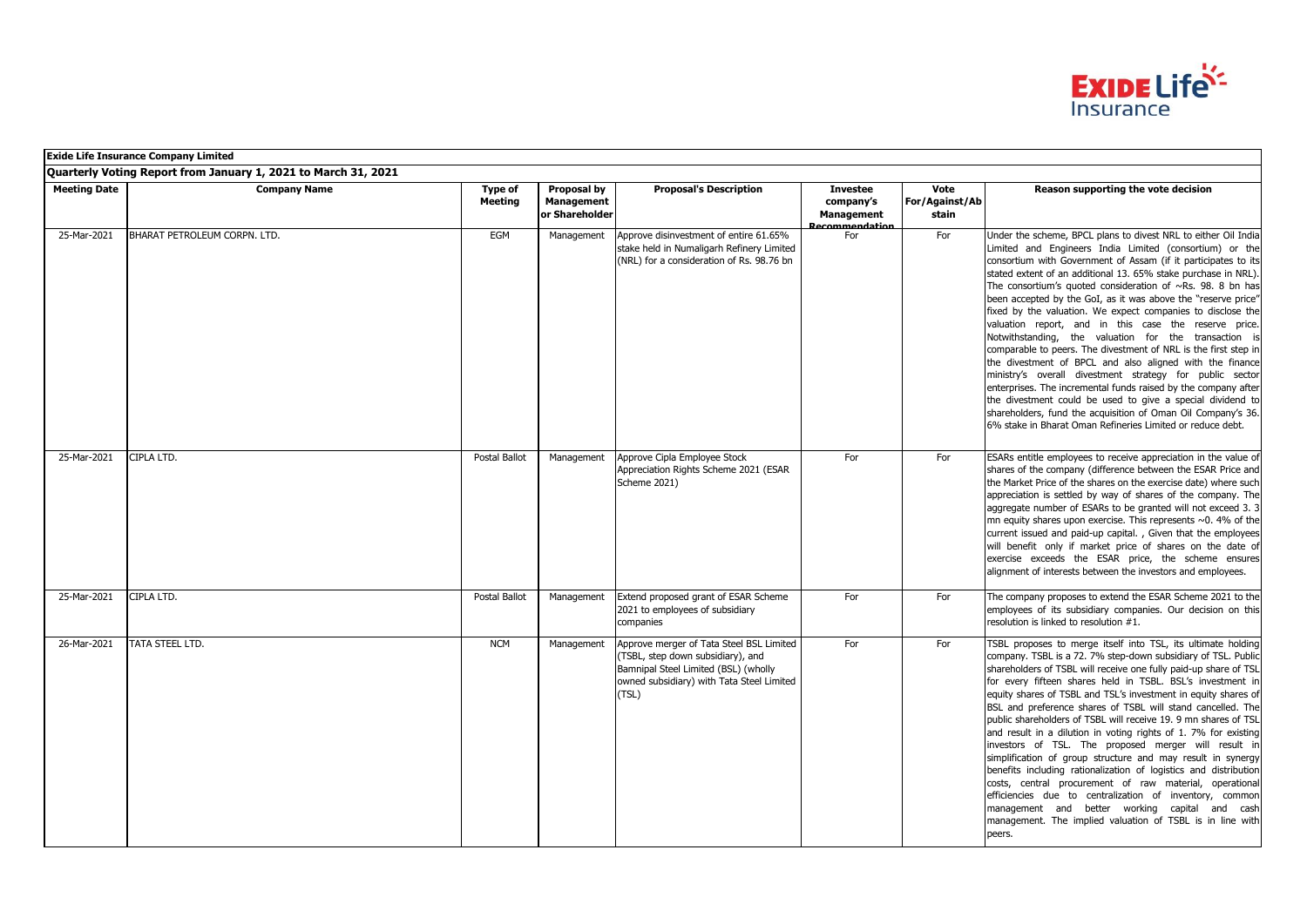

|                     | <b>Exide Life Insurance Company Limited</b>                    |                           |                                             |                                                                                                                                                                             |                                                                    |                                 |                                                                                                                                                                                                                                                                                                                                                                                                                                                                                                                                                                                                                                                                                                                                                                                                                                                                                                                                                                                                                                              |  |  |  |
|---------------------|----------------------------------------------------------------|---------------------------|---------------------------------------------|-----------------------------------------------------------------------------------------------------------------------------------------------------------------------------|--------------------------------------------------------------------|---------------------------------|----------------------------------------------------------------------------------------------------------------------------------------------------------------------------------------------------------------------------------------------------------------------------------------------------------------------------------------------------------------------------------------------------------------------------------------------------------------------------------------------------------------------------------------------------------------------------------------------------------------------------------------------------------------------------------------------------------------------------------------------------------------------------------------------------------------------------------------------------------------------------------------------------------------------------------------------------------------------------------------------------------------------------------------------|--|--|--|
|                     | Quarterly Voting Report from January 1, 2021 to March 31, 2021 |                           |                                             |                                                                                                                                                                             |                                                                    |                                 |                                                                                                                                                                                                                                                                                                                                                                                                                                                                                                                                                                                                                                                                                                                                                                                                                                                                                                                                                                                                                                              |  |  |  |
| <b>Meeting Date</b> | <b>Company Name</b>                                            | Type of<br><b>Meeting</b> | Proposal by<br>Management<br>or Shareholder | <b>Proposal's Description</b>                                                                                                                                               | <b>Investee</b><br>company's<br><b>Management</b><br>ecommendation | Vote<br>For/Against/Ab<br>stain | Reason supporting the vote decision                                                                                                                                                                                                                                                                                                                                                                                                                                                                                                                                                                                                                                                                                                                                                                                                                                                                                                                                                                                                          |  |  |  |
| 25-Mar-2021         | BHARAT PETROLEUM CORPN. LTD.                                   | EGM                       | Management                                  | Approve disinvestment of entire 61.65%<br>stake held in Numaligarh Refinery Limited<br>(NRL) for a consideration of Rs. 98.76 bn                                            | For                                                                | For                             | Under the scheme, BPCL plans to divest NRL to either Oil India<br>Limited and Engineers India Limited (consortium) or the<br>consortium with Government of Assam (if it participates to its<br>stated extent of an additional 13. 65% stake purchase in NRL).<br>The consortium's quoted consideration of $\sim$ Rs. 98. 8 bn has<br>been accepted by the GoI, as it was above the "reserve price"<br>fixed by the valuation. We expect companies to disclose the<br>valuation report, and in this case the reserve price.<br>Notwithstanding, the valuation for the transaction is<br>comparable to peers. The divestment of NRL is the first step in<br>the divestment of BPCL and also aligned with the finance<br>ministry's overall divestment strategy for public sector<br>enterprises. The incremental funds raised by the company after<br>the divestment could be used to give a special dividend to<br>shareholders, fund the acquisition of Oman Oil Company's 36.<br>6% stake in Bharat Oman Refineries Limited or reduce debt. |  |  |  |
| 25-Mar-2021         | CIPLA LTD.                                                     | Postal Ballot             | Management                                  | Approve Cipla Employee Stock<br>Appreciation Rights Scheme 2021 (ESAR<br>Scheme 2021)                                                                                       | For                                                                | For                             | ESARs entitle employees to receive appreciation in the value of<br>shares of the company (difference between the ESAR Price and<br>the Market Price of the shares on the exercise date) where such<br>appreciation is settled by way of shares of the company. The<br>aggregate number of ESARs to be granted will not exceed 3.3<br>mn equity shares upon exercise. This represents $\sim$ 0. 4% of the<br>current issued and paid-up capital., Given that the employees<br>will benefit only if market price of shares on the date of<br>exercise exceeds the ESAR price, the scheme ensures<br>alignment of interests between the investors and employees.                                                                                                                                                                                                                                                                                                                                                                                |  |  |  |
| 25-Mar-2021         | CIPLA LTD.                                                     | Postal Ballot             | Management                                  | Extend proposed grant of ESAR Scheme<br>2021 to employees of subsidiary<br>companies                                                                                        | For                                                                | For                             | The company proposes to extend the ESAR Scheme 2021 to the<br>employees of its subsidiary companies. Our decision on this<br>resolution is linked to resolution #1.                                                                                                                                                                                                                                                                                                                                                                                                                                                                                                                                                                                                                                                                                                                                                                                                                                                                          |  |  |  |
| 26-Mar-2021         | <b>TATA STEEL LTD.</b>                                         | <b>NCM</b>                | Management                                  | Approve merger of Tata Steel BSL Limited<br>(TSBL, step down subsidiary), and<br>Bamnipal Steel Limited (BSL) (wholly<br>owned subsidiary) with Tata Steel Limited<br>(TSL) | For                                                                | For                             | TSBL proposes to merge itself into TSL, its ultimate holding<br>company. TSBL is a 72. 7% step-down subsidiary of TSL. Public<br>shareholders of TSBL will receive one fully paid-up share of TSL<br>for every fifteen shares held in TSBL. BSL's investment in<br>equity shares of TSBL and TSL's investment in equity shares of<br>BSL and preference shares of TSBL will stand cancelled. The<br>public shareholders of TSBL will receive 19. 9 mn shares of TSL<br>and result in a dilution in voting rights of 1. 7% for existing<br>investors of TSL. The proposed merger will result in<br>simplification of group structure and may result in synergy<br>benefits including rationalization of logistics and distribution<br>costs, central procurement of raw material, operational<br>efficiencies due to centralization of inventory, common<br>management and better working capital and cash<br>management. The implied valuation of TSBL is in line with<br>peers.                                                             |  |  |  |